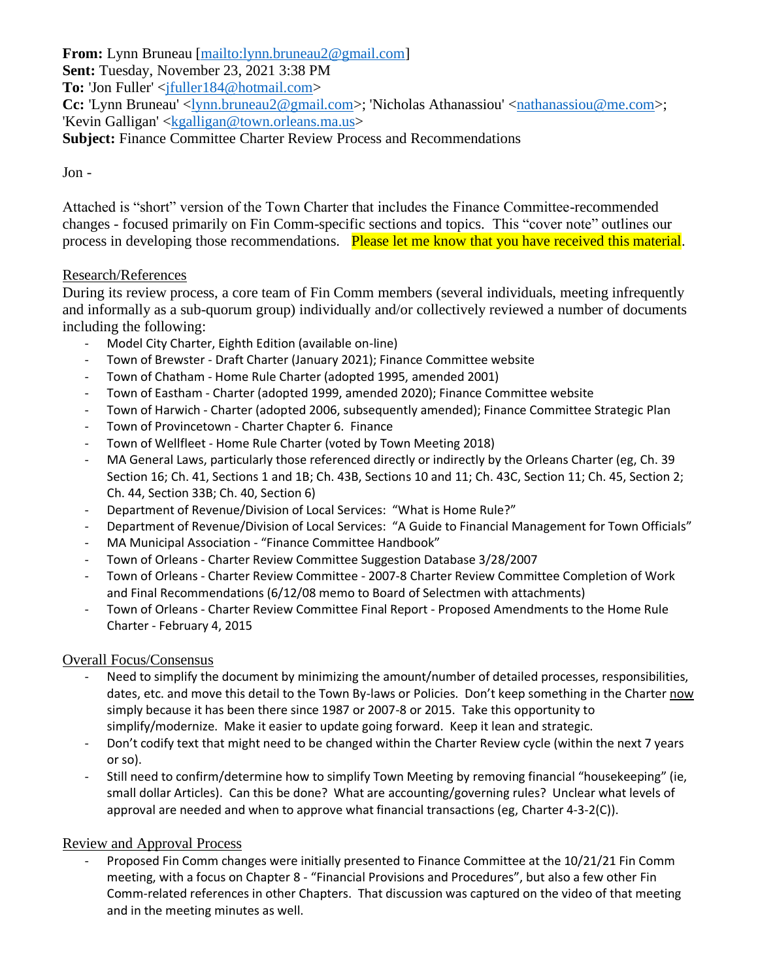**From:** Lynn Bruneau [\[mailto:lynn.bruneau2@gmail.com\]](mailto:lynn.bruneau2@gmail.com)

**Sent:** Tuesday, November 23, 2021 3:38 PM

**To:** 'Jon Fuller' <ifuller184@hotmail.com>

**Cc:** 'Lynn Bruneau' <<u>lynn.bruneau2@gmail.com</u>>; 'Nicholas Athanassiou' <<u>nathanassiou@me.com</u>>; 'Kevin Galligan' [<kgalligan@town.orleans.ma.us>](mailto:kgalligan@town.orleans.ma.us)

**Subject:** Finance Committee Charter Review Process and Recommendations

## Jon -

Attached is "short" version of the Town Charter that includes the Finance Committee-recommended changes - focused primarily on Fin Comm-specific sections and topics. This "cover note" outlines our process in developing those recommendations. Please let me know that you have received this material.

## Research/References

During its review process, a core team of Fin Comm members (several individuals, meeting infrequently and informally as a sub-quorum group) individually and/or collectively reviewed a number of documents including the following:

- Model City Charter, Eighth Edition (available on-line)
- Town of Brewster Draft Charter (January 2021); Finance Committee website
- Town of Chatham Home Rule Charter (adopted 1995, amended 2001)
- Town of Eastham Charter (adopted 1999, amended 2020); Finance Committee website
- Town of Harwich Charter (adopted 2006, subsequently amended); Finance Committee Strategic Plan
- Town of Provincetown Charter Chapter 6. Finance
- Town of Wellfleet Home Rule Charter (voted by Town Meeting 2018)
- MA General Laws, particularly those referenced directly or indirectly by the Orleans Charter (eg, Ch. 39 Section 16; Ch. 41, Sections 1 and 1B; Ch. 43B, Sections 10 and 11; Ch. 43C, Section 11; Ch. 45, Section 2; Ch. 44, Section 33B; Ch. 40, Section 6)
- Department of Revenue/Division of Local Services: "What is Home Rule?"
- Department of Revenue/Division of Local Services: "A Guide to Financial Management for Town Officials"
- MA Municipal Association "Finance Committee Handbook"
- Town of Orleans Charter Review Committee Suggestion Database 3/28/2007
- Town of Orleans Charter Review Committee 2007-8 Charter Review Committee Completion of Work and Final Recommendations (6/12/08 memo to Board of Selectmen with attachments)
- Town of Orleans Charter Review Committee Final Report Proposed Amendments to the Home Rule Charter - February 4, 2015

# Overall Focus/Consensus

- Need to simplify the document by minimizing the amount/number of detailed processes, responsibilities, dates, etc. and move this detail to the Town By-laws or Policies. Don't keep something in the Charter now simply because it has been there since 1987 or 2007-8 or 2015. Take this opportunity to simplify/modernize. Make it easier to update going forward. Keep it lean and strategic.
- Don't codify text that might need to be changed within the Charter Review cycle (within the next 7 years or so).
- Still need to confirm/determine how to simplify Town Meeting by removing financial "housekeeping" (ie, small dollar Articles). Can this be done? What are accounting/governing rules? Unclear what levels of approval are needed and when to approve what financial transactions (eg, Charter 4-3-2(C)).

#### Review and Approval Process

- Proposed Fin Comm changes were initially presented to Finance Committee at the 10/21/21 Fin Comm meeting, with a focus on Chapter 8 - "Financial Provisions and Procedures", but also a few other Fin Comm-related references in other Chapters. That discussion was captured on the video of that meeting and in the meeting minutes as well.